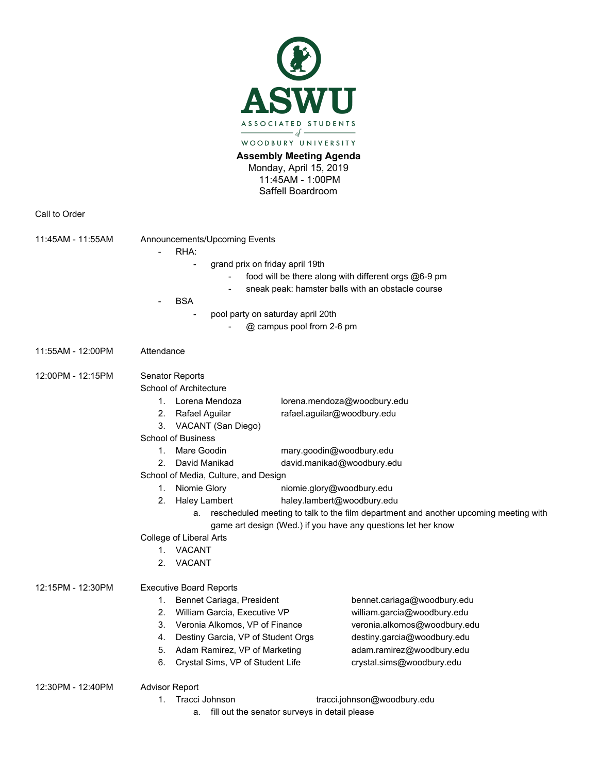

## **Assembly Meeting Agenda**

Monday, April 15, 2019 11:45AM - 1:00PM Saffell Boardroom

Call to Order

| 11:45AM - 11:55AM                                                                       | Announcements/Upcoming Events<br>RHA:<br>grand prix on friday april 19th<br>food will be there along with different orgs @6-9 pm<br>sneak peak: hamster balls with an obstacle course<br><b>BSA</b><br>pool party on saturday april 20th |                             |                              |  |                   |                 |                           |  |
|-----------------------------------------------------------------------------------------|------------------------------------------------------------------------------------------------------------------------------------------------------------------------------------------------------------------------------------------|-----------------------------|------------------------------|--|-------------------|-----------------|---------------------------|--|
|                                                                                         |                                                                                                                                                                                                                                          |                             |                              |  |                   |                 |                           |  |
|                                                                                         |                                                                                                                                                                                                                                          |                             |                              |  |                   |                 |                           |  |
|                                                                                         |                                                                                                                                                                                                                                          |                             |                              |  |                   |                 | @ campus pool from 2-6 pm |  |
|                                                                                         |                                                                                                                                                                                                                                          |                             |                              |  | 11:55AM - 12:00PM | Attendance      |                           |  |
|                                                                                         |                                                                                                                                                                                                                                          |                             |                              |  | 12:00PM - 12:15PM | Senator Reports |                           |  |
| School of Architecture                                                                  |                                                                                                                                                                                                                                          |                             |                              |  |                   |                 |                           |  |
| 1. Lorena Mendoza                                                                       |                                                                                                                                                                                                                                          | lorena.mendoza@woodbury.edu |                              |  |                   |                 |                           |  |
| 2.<br>Rafael Aguilar                                                                    |                                                                                                                                                                                                                                          | rafael.aguilar@woodbury.edu |                              |  |                   |                 |                           |  |
| 3.<br>VACANT (San Diego)                                                                |                                                                                                                                                                                                                                          |                             |                              |  |                   |                 |                           |  |
| <b>School of Business</b>                                                               |                                                                                                                                                                                                                                          |                             |                              |  |                   |                 |                           |  |
| Mare Goodin<br>$1_{-}$                                                                  |                                                                                                                                                                                                                                          | mary.goodin@woodbury.edu    |                              |  |                   |                 |                           |  |
| David Manikad<br>2.                                                                     | david.manikad@woodbury.edu                                                                                                                                                                                                               |                             |                              |  |                   |                 |                           |  |
| School of Media, Culture, and Design                                                    |                                                                                                                                                                                                                                          |                             |                              |  |                   |                 |                           |  |
| Niomie Glory<br>1.                                                                      |                                                                                                                                                                                                                                          | niomie.glory@woodbury.edu   |                              |  |                   |                 |                           |  |
| 2.<br><b>Haley Lambert</b>                                                              |                                                                                                                                                                                                                                          | haley.lambert@woodbury.edu  |                              |  |                   |                 |                           |  |
| a. rescheduled meeting to talk to the film department and another upcoming meeting with |                                                                                                                                                                                                                                          |                             |                              |  |                   |                 |                           |  |
| game art design (Wed.) if you have any questions let her know                           |                                                                                                                                                                                                                                          |                             |                              |  |                   |                 |                           |  |
| College of Liberal Arts                                                                 |                                                                                                                                                                                                                                          |                             |                              |  |                   |                 |                           |  |
| 1. VACANT                                                                               |                                                                                                                                                                                                                                          |                             |                              |  |                   |                 |                           |  |
|                                                                                         | 2.<br>VACANT                                                                                                                                                                                                                             |                             |                              |  |                   |                 |                           |  |
| 12:15PM - 12:30PM                                                                       | <b>Executive Board Reports</b>                                                                                                                                                                                                           |                             |                              |  |                   |                 |                           |  |
|                                                                                         | Bennet Cariaga, President<br>1.                                                                                                                                                                                                          |                             | bennet.cariaga@woodbury.edu  |  |                   |                 |                           |  |
|                                                                                         | 2.<br>William Garcia, Executive VP                                                                                                                                                                                                       |                             | william.garcia@woodbury.edu  |  |                   |                 |                           |  |
|                                                                                         | 3.<br>Veronia Alkomos, VP of Finance                                                                                                                                                                                                     |                             | veronia.alkomos@woodbury.edu |  |                   |                 |                           |  |
|                                                                                         | Destiny Garcia, VP of Student Orgs<br>4.                                                                                                                                                                                                 |                             | destiny.garcia@woodbury.edu  |  |                   |                 |                           |  |
|                                                                                         | Adam Ramirez, VP of Marketing<br>5.                                                                                                                                                                                                      |                             | adam.ramirez@woodbury.edu    |  |                   |                 |                           |  |
|                                                                                         | 6.<br>Crystal Sims, VP of Student Life                                                                                                                                                                                                   |                             | crystal.sims@woodbury.edu    |  |                   |                 |                           |  |
| 12:30PM - 12:40PM                                                                       | <b>Advisor Report</b>                                                                                                                                                                                                                    |                             |                              |  |                   |                 |                           |  |
|                                                                                         | tracci.johnson@woodbury.edu<br>1.<br>Tracci Johnson                                                                                                                                                                                      |                             |                              |  |                   |                 |                           |  |
|                                                                                         | $\mathbf{r}$ . $\mathbf{r}$                                                                                                                                                                                                              |                             |                              |  |                   |                 |                           |  |

a. fill out the senator surveys in detail please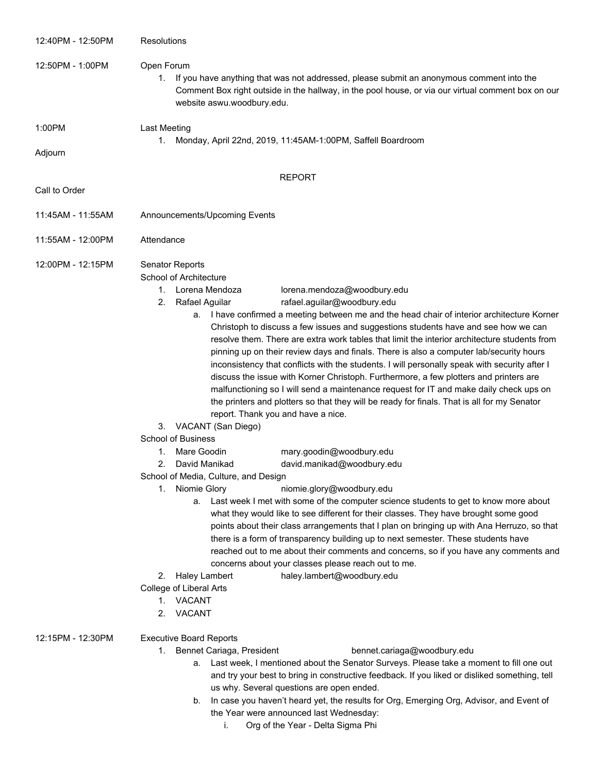| 12:40PM - 12:50PM | Resolutions                                                                                                                                                                                                                                                                                                                                                                                                                                                                                                                                                                                                                                                                                                                                                                                                                                                                                                                                                                                                                                                                                                                                                                                                                                                                                                                                                                                                                                                                                                                                                                                                                                                                                                                                                                                                                                               |  |  |
|-------------------|-----------------------------------------------------------------------------------------------------------------------------------------------------------------------------------------------------------------------------------------------------------------------------------------------------------------------------------------------------------------------------------------------------------------------------------------------------------------------------------------------------------------------------------------------------------------------------------------------------------------------------------------------------------------------------------------------------------------------------------------------------------------------------------------------------------------------------------------------------------------------------------------------------------------------------------------------------------------------------------------------------------------------------------------------------------------------------------------------------------------------------------------------------------------------------------------------------------------------------------------------------------------------------------------------------------------------------------------------------------------------------------------------------------------------------------------------------------------------------------------------------------------------------------------------------------------------------------------------------------------------------------------------------------------------------------------------------------------------------------------------------------------------------------------------------------------------------------------------------------|--|--|
| 12:50PM - 1:00PM  | Open Forum<br>1.<br>If you have anything that was not addressed, please submit an anonymous comment into the<br>Comment Box right outside in the hallway, in the pool house, or via our virtual comment box on our<br>website aswu.woodbury.edu.                                                                                                                                                                                                                                                                                                                                                                                                                                                                                                                                                                                                                                                                                                                                                                                                                                                                                                                                                                                                                                                                                                                                                                                                                                                                                                                                                                                                                                                                                                                                                                                                          |  |  |
| 1:00PM            | Last Meeting                                                                                                                                                                                                                                                                                                                                                                                                                                                                                                                                                                                                                                                                                                                                                                                                                                                                                                                                                                                                                                                                                                                                                                                                                                                                                                                                                                                                                                                                                                                                                                                                                                                                                                                                                                                                                                              |  |  |
| Adjourn           | Monday, April 22nd, 2019, 11:45AM-1:00PM, Saffell Boardroom<br>1.                                                                                                                                                                                                                                                                                                                                                                                                                                                                                                                                                                                                                                                                                                                                                                                                                                                                                                                                                                                                                                                                                                                                                                                                                                                                                                                                                                                                                                                                                                                                                                                                                                                                                                                                                                                         |  |  |
|                   | <b>REPORT</b>                                                                                                                                                                                                                                                                                                                                                                                                                                                                                                                                                                                                                                                                                                                                                                                                                                                                                                                                                                                                                                                                                                                                                                                                                                                                                                                                                                                                                                                                                                                                                                                                                                                                                                                                                                                                                                             |  |  |
| Call to Order     |                                                                                                                                                                                                                                                                                                                                                                                                                                                                                                                                                                                                                                                                                                                                                                                                                                                                                                                                                                                                                                                                                                                                                                                                                                                                                                                                                                                                                                                                                                                                                                                                                                                                                                                                                                                                                                                           |  |  |
| 11:45AM - 11:55AM | Announcements/Upcoming Events                                                                                                                                                                                                                                                                                                                                                                                                                                                                                                                                                                                                                                                                                                                                                                                                                                                                                                                                                                                                                                                                                                                                                                                                                                                                                                                                                                                                                                                                                                                                                                                                                                                                                                                                                                                                                             |  |  |
| 11:55AM - 12:00PM | Attendance                                                                                                                                                                                                                                                                                                                                                                                                                                                                                                                                                                                                                                                                                                                                                                                                                                                                                                                                                                                                                                                                                                                                                                                                                                                                                                                                                                                                                                                                                                                                                                                                                                                                                                                                                                                                                                                |  |  |
| 12:00PM - 12:15PM | Senator Reports<br>School of Architecture<br>1. Lorena Mendoza<br>lorena.mendoza@woodbury.edu<br>rafael.aguilar@woodbury.edu<br>2.<br>Rafael Aguilar<br>a. I have confirmed a meeting between me and the head chair of interior architecture Korner<br>Christoph to discuss a few issues and suggestions students have and see how we can<br>resolve them. There are extra work tables that limit the interior architecture students from<br>pinning up on their review days and finals. There is also a computer lab/security hours<br>inconsistency that conflicts with the students. I will personally speak with security after I<br>discuss the issue with Korner Christoph. Furthermore, a few plotters and printers are<br>malfunctioning so I will send a maintenance request for IT and make daily check ups on<br>the printers and plotters so that they will be ready for finals. That is all for my Senator<br>report. Thank you and have a nice.<br>VACANT (San Diego)<br>3.<br><b>School of Business</b><br>Mare Goodin<br>mary.goodin@woodbury.edu<br>1.<br>David Manikad<br>david.manikad@woodbury.edu<br>2.<br>School of Media, Culture, and Design<br>Niomie Glory<br>niomie.glory@woodbury.edu<br>1.<br>a. Last week I met with some of the computer science students to get to know more about<br>what they would like to see different for their classes. They have brought some good<br>points about their class arrangements that I plan on bringing up with Ana Herruzo, so that<br>there is a form of transparency building up to next semester. These students have<br>reached out to me about their comments and concerns, so if you have any comments and<br>concerns about your classes please reach out to me.<br>haley.lambert@woodbury.edu<br>Haley Lambert<br>2.<br>College of Liberal Arts<br>1. VACANT<br>VACANT<br>2. |  |  |
| 12:15PM - 12:30PM | <b>Executive Board Reports</b><br>1. Bennet Cariaga, President<br>bennet.cariaga@woodbury.edu<br>a. Last week, I mentioned about the Senator Surveys. Please take a moment to fill one out<br>and try your best to bring in constructive feedback. If you liked or disliked something, tell<br>us why. Several questions are open ended.<br>In case you haven't heard yet, the results for Org, Emerging Org, Advisor, and Event of<br>b.<br>the Year were announced last Wednesday:                                                                                                                                                                                                                                                                                                                                                                                                                                                                                                                                                                                                                                                                                                                                                                                                                                                                                                                                                                                                                                                                                                                                                                                                                                                                                                                                                                      |  |  |

i. Org of the Year - Delta Sigma Phi